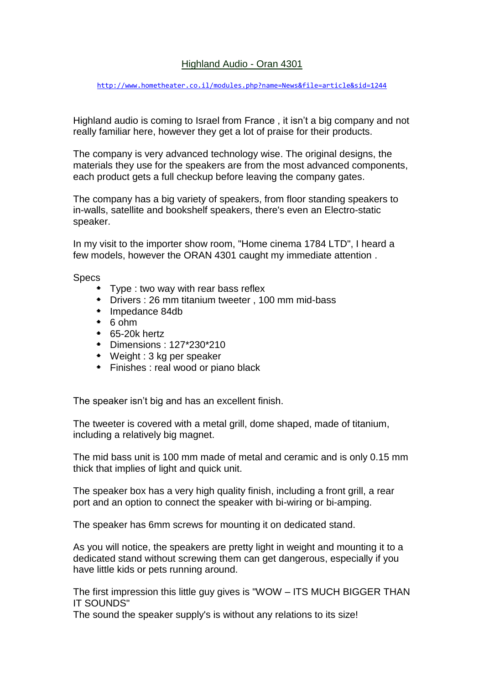## Highland Audio - Oran 4301

<http://www.hometheater.co.il/modules.php?name=News&file=article&sid=1244>

Highland audio is coming to Israel from France , it isn't a big company and not really familiar here, however they get a lot of praise for their products.

The company is very advanced technology wise. The original designs, the materials they use for the speakers are from the most advanced components, each product gets a full checkup before leaving the company gates.

The company has a big variety of speakers, from floor standing speakers to in-walls, satellite and bookshelf speakers, there's even an Electro-static speaker.

In my visit to the importer show room, "Home cinema 1784 LTD", I heard a few models, however the ORAN 4301 caught my immediate attention .

Specs

- Type : two way with rear bass reflex
- Drivers : 26 mm titanium tweeter , 100 mm mid-bass
- Impedance 84db
- $*$  6 ohm
- 65-20k hertz
- Dimensions : 127\*230\*210
- Weight : 3 kg per speaker
- **Finishes : real wood or piano black**

The speaker isn't big and has an excellent finish.

The tweeter is covered with a metal grill, dome shaped, made of titanium, including a relatively big magnet.

The mid bass unit is 100 mm made of metal and ceramic and is only 0.15 mm thick that implies of light and quick unit.

The speaker box has a very high quality finish, including a front grill, a rear port and an option to connect the speaker with bi-wiring or bi-amping.

The speaker has 6mm screws for mounting it on dedicated stand.

As you will notice, the speakers are pretty light in weight and mounting it to a dedicated stand without screwing them can get dangerous, especially if you have little kids or pets running around.

The first impression this little guy gives is "WOW – ITS MUCH BIGGER THAN IT SOUNDS"

The sound the speaker supply's is without any relations to its size!